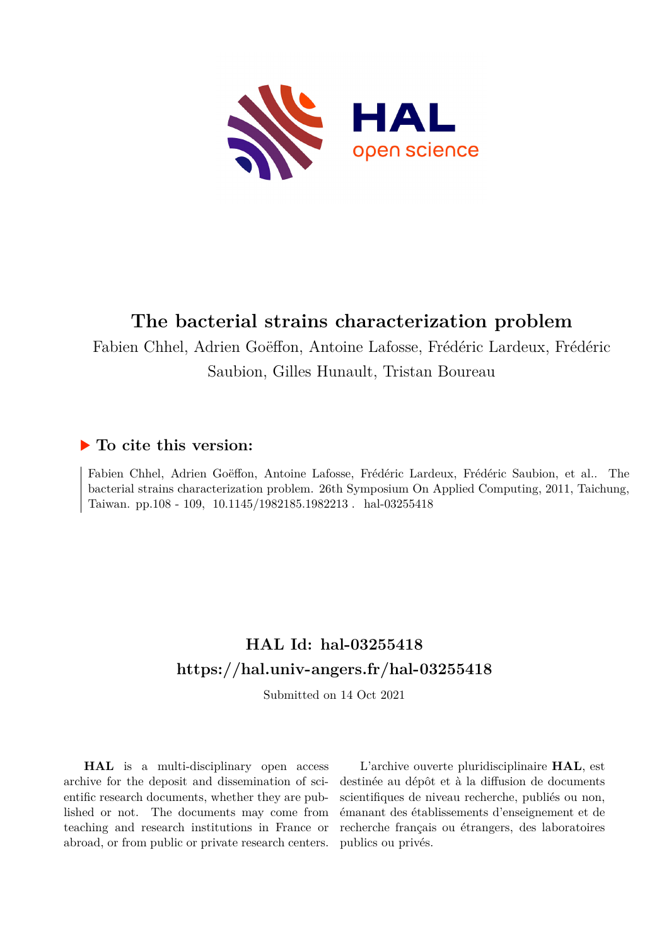

# **The bacterial strains characterization problem**

Fabien Chhel, Adrien Goëffon, Antoine Lafosse, Frédéric Lardeux, Frédéric Saubion, Gilles Hunault, Tristan Boureau

## **To cite this version:**

Fabien Chhel, Adrien Goëffon, Antoine Lafosse, Frédéric Lardeux, Frédéric Saubion, et al.. The bacterial strains characterization problem. 26th Symposium On Applied Computing, 2011, Taichung, Taiwan. pp.108 - 109, 10.1145/1982185.1982213. hal-03255418

## **HAL Id: hal-03255418 <https://hal.univ-angers.fr/hal-03255418>**

Submitted on 14 Oct 2021

**HAL** is a multi-disciplinary open access archive for the deposit and dissemination of scientific research documents, whether they are published or not. The documents may come from teaching and research institutions in France or abroad, or from public or private research centers.

L'archive ouverte pluridisciplinaire **HAL**, est destinée au dépôt et à la diffusion de documents scientifiques de niveau recherche, publiés ou non, émanant des établissements d'enseignement et de recherche français ou étrangers, des laboratoires publics ou privés.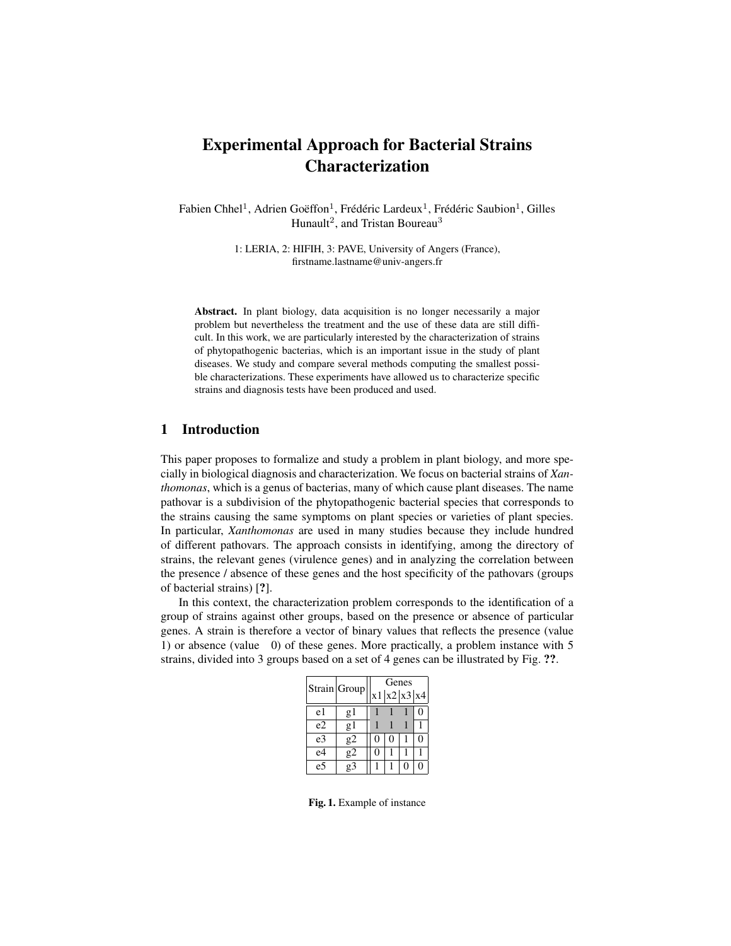### Experimental Approach for Bacterial Strains Characterization

Fabien Chhel<sup>1</sup>, Adrien Goëffon<sup>1</sup>, Frédéric Lardeux<sup>1</sup>, Frédéric Saubion<sup>1</sup>, Gilles Hunault<sup>2</sup>, and Tristan Boureau<sup>3</sup>

> 1: LERIA, 2: HIFIH, 3: PAVE, University of Angers (France), firstname.lastname@univ-angers.fr

Abstract. In plant biology, data acquisition is no longer necessarily a major problem but nevertheless the treatment and the use of these data are still difficult. In this work, we are particularly interested by the characterization of strains of phytopathogenic bacterias, which is an important issue in the study of plant diseases. We study and compare several methods computing the smallest possible characterizations. These experiments have allowed us to characterize specific strains and diagnosis tests have been produced and used.

### 1 Introduction

This paper proposes to formalize and study a problem in plant biology, and more specially in biological diagnosis and characterization. We focus on bacterial strains of *Xanthomonas*, which is a genus of bacterias, many of which cause plant diseases. The name pathovar is a subdivision of the phytopathogenic bacterial species that corresponds to the strains causing the same symptoms on plant species or varieties of plant species. In particular, *Xanthomonas* are used in many studies because they include hundred of different pathovars. The approach consists in identifying, among the directory of strains, the relevant genes (virulence genes) and in analyzing the correlation between the presence / absence of these genes and the host specificity of the pathovars (groups of bacterial strains) [?].

In this context, the characterization problem corresponds to the identification of a group of strains against other groups, based on the presence or absence of particular genes. A strain is therefore a vector of binary values that reflects the presence (value 1) or absence (value 0) of these genes. More practically, a problem instance with 5 strains, divided into 3 groups based on a set of 4 genes can be illustrated by Fig. ??.

|    | Strain Group | Genes |             |  |   |  |  |  |
|----|--------------|-------|-------------|--|---|--|--|--|
|    |              |       | x1 x2 x3 x4 |  |   |  |  |  |
| e1 | g1           |       |             |  |   |  |  |  |
| e2 | g1           |       |             |  |   |  |  |  |
| e3 | g2           | 0     | 0           |  | 0 |  |  |  |
| e4 | g2           | 0     |             |  |   |  |  |  |
| e5 | $\sigma$ 3   |       |             |  |   |  |  |  |

Fig. 1. Example of instance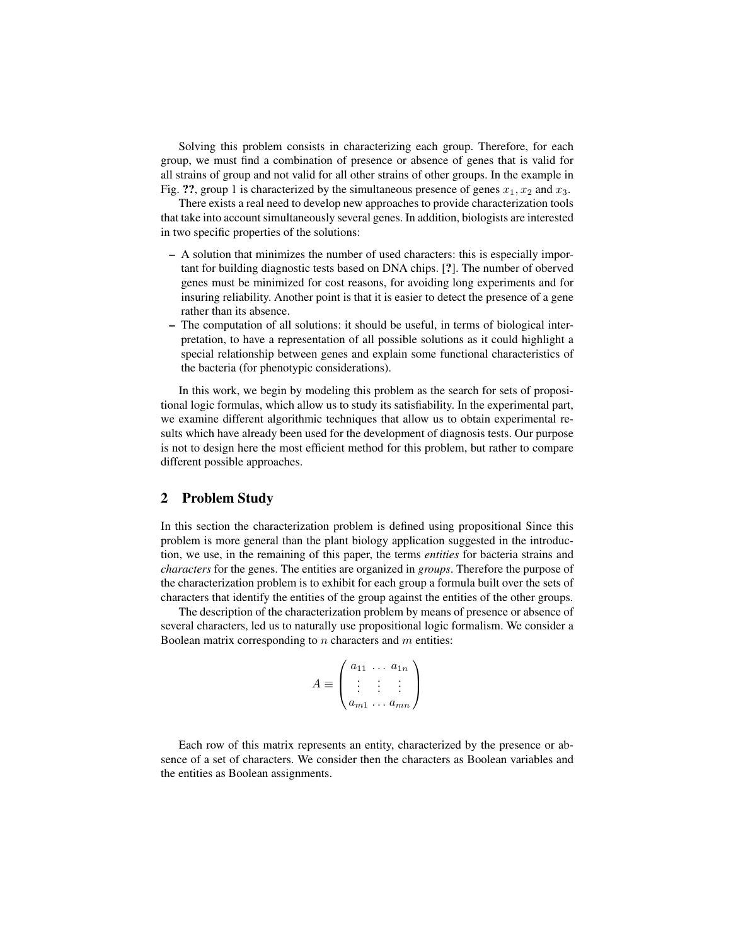Solving this problem consists in characterizing each group. Therefore, for each group, we must find a combination of presence or absence of genes that is valid for all strains of group and not valid for all other strains of other groups. In the example in Fig. ??, group 1 is characterized by the simultaneous presence of genes  $x_1, x_2$  and  $x_3$ .

There exists a real need to develop new approaches to provide characterization tools that take into account simultaneously several genes. In addition, biologists are interested in two specific properties of the solutions:

- A solution that minimizes the number of used characters: this is especially important for building diagnostic tests based on DNA chips. [?]. The number of oberved genes must be minimized for cost reasons, for avoiding long experiments and for insuring reliability. Another point is that it is easier to detect the presence of a gene rather than its absence.
- The computation of all solutions: it should be useful, in terms of biological interpretation, to have a representation of all possible solutions as it could highlight a special relationship between genes and explain some functional characteristics of the bacteria (for phenotypic considerations).

In this work, we begin by modeling this problem as the search for sets of propositional logic formulas, which allow us to study its satisfiability. In the experimental part, we examine different algorithmic techniques that allow us to obtain experimental results which have already been used for the development of diagnosis tests. Our purpose is not to design here the most efficient method for this problem, but rather to compare different possible approaches.

#### 2 Problem Study

In this section the characterization problem is defined using propositional Since this problem is more general than the plant biology application suggested in the introduction, we use, in the remaining of this paper, the terms *entities* for bacteria strains and *characters* for the genes. The entities are organized in *groups*. Therefore the purpose of the characterization problem is to exhibit for each group a formula built over the sets of characters that identify the entities of the group against the entities of the other groups.

The description of the characterization problem by means of presence or absence of several characters, led us to naturally use propositional logic formalism. We consider a Boolean matrix corresponding to  $n$  characters and  $m$  entities:

$$
A \equiv \begin{pmatrix} a_{11} & \dots & a_{1n} \\ \vdots & \vdots & \vdots \\ a_{m1} & \dots & a_{mn} \end{pmatrix}
$$

Each row of this matrix represents an entity, characterized by the presence or absence of a set of characters. We consider then the characters as Boolean variables and the entities as Boolean assignments.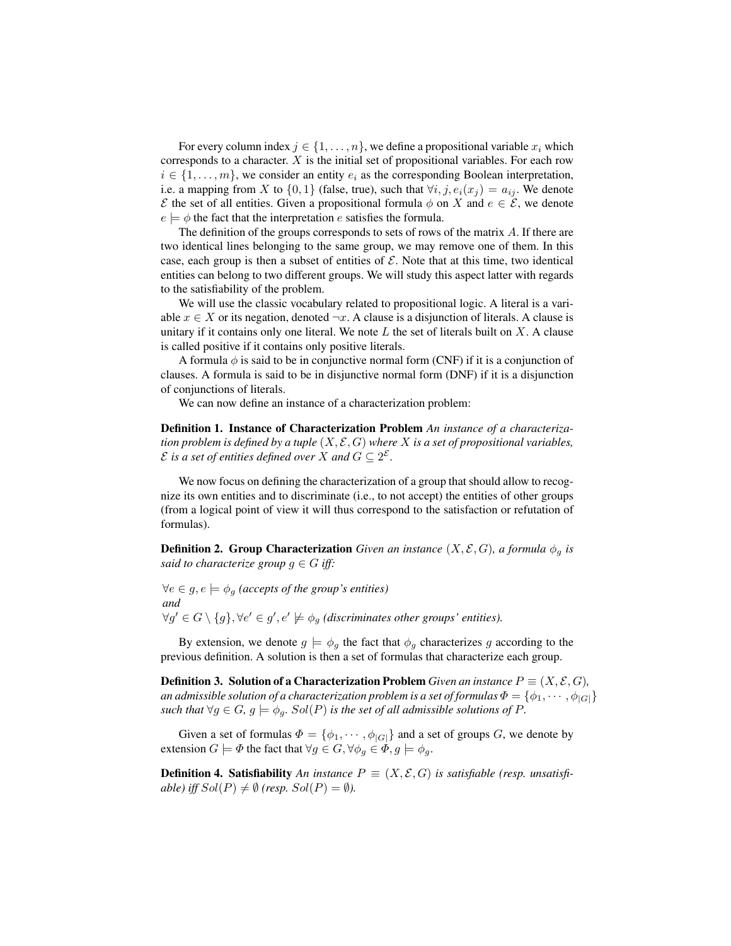For every column index  $j \in \{1, \ldots, n\}$ , we define a propositional variable  $x_i$  which corresponds to a character.  $X$  is the initial set of propositional variables. For each row  $i \in \{1, \ldots, m\}$ , we consider an entity  $e_i$  as the corresponding Boolean interpretation, i.e. a mapping from X to  $\{0,1\}$  (false, true), such that  $\forall i, j, e_i(x_j) = a_{ij}$ . We denote  $\mathcal E$  the set of all entities. Given a propositional formula  $\phi$  on X and  $e \in \mathcal E$ , we denote  $e \models \phi$  the fact that the interpretation e satisfies the formula.

The definition of the groups corresponds to sets of rows of the matrix  $\tilde{A}$ . If there are two identical lines belonging to the same group, we may remove one of them. In this case, each group is then a subset of entities of  $\mathcal{E}$ . Note that at this time, two identical entities can belong to two different groups. We will study this aspect latter with regards to the satisfiability of the problem.

We will use the classic vocabulary related to propositional logic. A literal is a variable  $x \in X$  or its negation, denoted  $\neg x$ . A clause is a disjunction of literals. A clause is unitary if it contains only one literal. We note  $L$  the set of literals built on  $X$ . A clause is called positive if it contains only positive literals.

A formula  $\phi$  is said to be in conjunctive normal form (CNF) if it is a conjunction of clauses. A formula is said to be in disjunctive normal form (DNF) if it is a disjunction of conjunctions of literals.

We can now define an instance of a characterization problem:

Definition 1. Instance of Characterization Problem *An instance of a characterization problem is defined by a tuple* (X, E, G) *where* X *is a set of propositional variables,* E is a set of entities defined over X and  $G \subseteq 2^{\mathcal{E}}$ .

We now focus on defining the characterization of a group that should allow to recognize its own entities and to discriminate (i.e., to not accept) the entities of other groups (from a logical point of view it will thus correspond to the satisfaction or refutation of formulas).

**Definition 2. Group Characterization** *Given an instance*  $(X, \mathcal{E}, G)$ *, a formula*  $\phi_q$  *is said to characterize group*  $g \in G$  *iff:* 

 $∀e ∈ g, e ⊨ φ<sub>g</sub>$  (accepts of the group's entities) *and*  $\forall g' \in G \setminus \{g\}, \forall e' \in g', e' \not\models \phi_g$  (discriminates other groups' entities).

By extension, we denote  $g \models \phi_g$  the fact that  $\phi_g$  characterizes g according to the previous definition. A solution is then a set of formulas that characterize each group.

**Definition 3. Solution of a Characterization Problem** *Given an instance*  $P \equiv (X, \mathcal{E}, G)$ *, an admissible solution of a characterization problem is a set of formulas*  $\Phi = \{\phi_1, \dots, \phi_{|G|}\}\$ *such that*  $\forall g \in G, g \models \phi_g$ .  $Sol(P)$  *is the set of all admissible solutions of* P.

Given a set of formulas  $\Phi = {\phi_1, \cdots, \phi_{|G|}}$  and a set of groups G, we denote by extension  $G \models \Phi$  the fact that  $\forall g \in G, \forall \phi_g \in \Phi, g \models \phi_g$ .

**Definition 4. Satisfiability** *An instance*  $P \equiv (X, \mathcal{E}, G)$  *is satisfiable (resp. unsatisfiable) iff*  $Sol(P) \neq \emptyset$  (resp.  $Sol(P) = \emptyset$ ).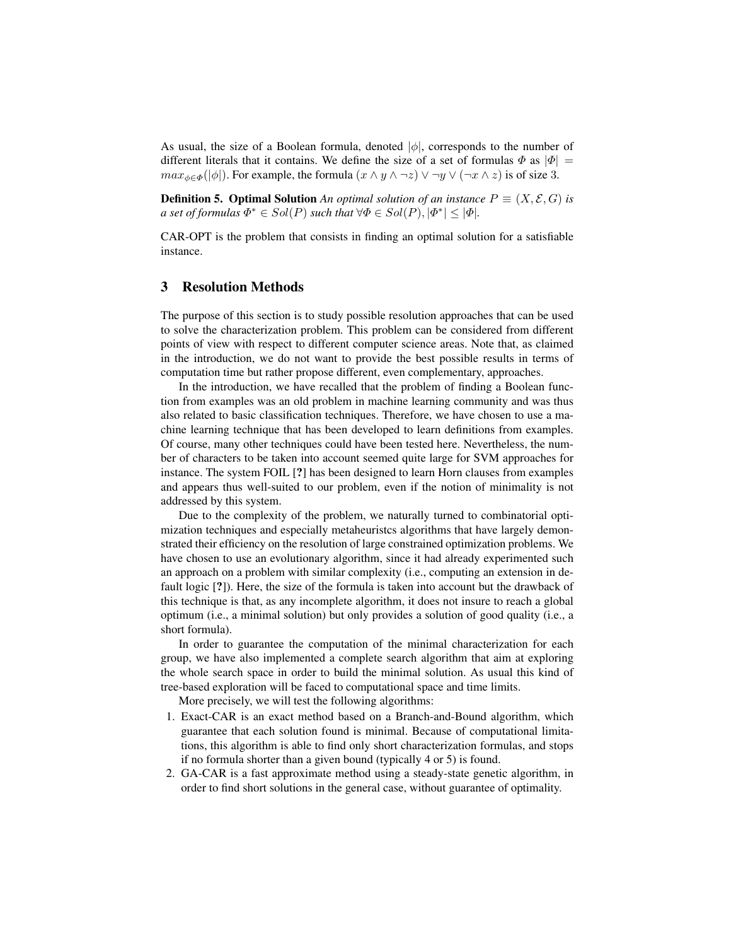As usual, the size of a Boolean formula, denoted  $|\phi|$ , corresponds to the number of different literals that it contains. We define the size of a set of formulas  $\Phi$  as  $|\Phi| =$  $max_{\phi \in \Phi}(|\phi|)$ . For example, the formula  $(x \land y \land \neg z) \lor \neg y \lor (\neg x \land z)$  is of size 3.

**Definition 5. Optimal Solution** *An optimal solution of an instance*  $P \equiv (X, \mathcal{E}, G)$  *is a set of formulas*  $\Phi^* \in Sol(P)$  *such that*  $\forall \Phi \in Sol(P), |\Phi^*| \leq |\Phi|$ *.* 

CAR-OPT is the problem that consists in finding an optimal solution for a satisfiable instance.

#### 3 Resolution Methods

The purpose of this section is to study possible resolution approaches that can be used to solve the characterization problem. This problem can be considered from different points of view with respect to different computer science areas. Note that, as claimed in the introduction, we do not want to provide the best possible results in terms of computation time but rather propose different, even complementary, approaches.

In the introduction, we have recalled that the problem of finding a Boolean function from examples was an old problem in machine learning community and was thus also related to basic classification techniques. Therefore, we have chosen to use a machine learning technique that has been developed to learn definitions from examples. Of course, many other techniques could have been tested here. Nevertheless, the number of characters to be taken into account seemed quite large for SVM approaches for instance. The system FOIL [?] has been designed to learn Horn clauses from examples and appears thus well-suited to our problem, even if the notion of minimality is not addressed by this system.

Due to the complexity of the problem, we naturally turned to combinatorial optimization techniques and especially metaheuristcs algorithms that have largely demonstrated their efficiency on the resolution of large constrained optimization problems. We have chosen to use an evolutionary algorithm, since it had already experimented such an approach on a problem with similar complexity (i.e., computing an extension in default logic [?]). Here, the size of the formula is taken into account but the drawback of this technique is that, as any incomplete algorithm, it does not insure to reach a global optimum (i.e., a minimal solution) but only provides a solution of good quality (i.e., a short formula).

In order to guarantee the computation of the minimal characterization for each group, we have also implemented a complete search algorithm that aim at exploring the whole search space in order to build the minimal solution. As usual this kind of tree-based exploration will be faced to computational space and time limits.

More precisely, we will test the following algorithms:

- 1. Exact-CAR is an exact method based on a Branch-and-Bound algorithm, which guarantee that each solution found is minimal. Because of computational limitations, this algorithm is able to find only short characterization formulas, and stops if no formula shorter than a given bound (typically 4 or 5) is found.
- 2. GA-CAR is a fast approximate method using a steady-state genetic algorithm, in order to find short solutions in the general case, without guarantee of optimality.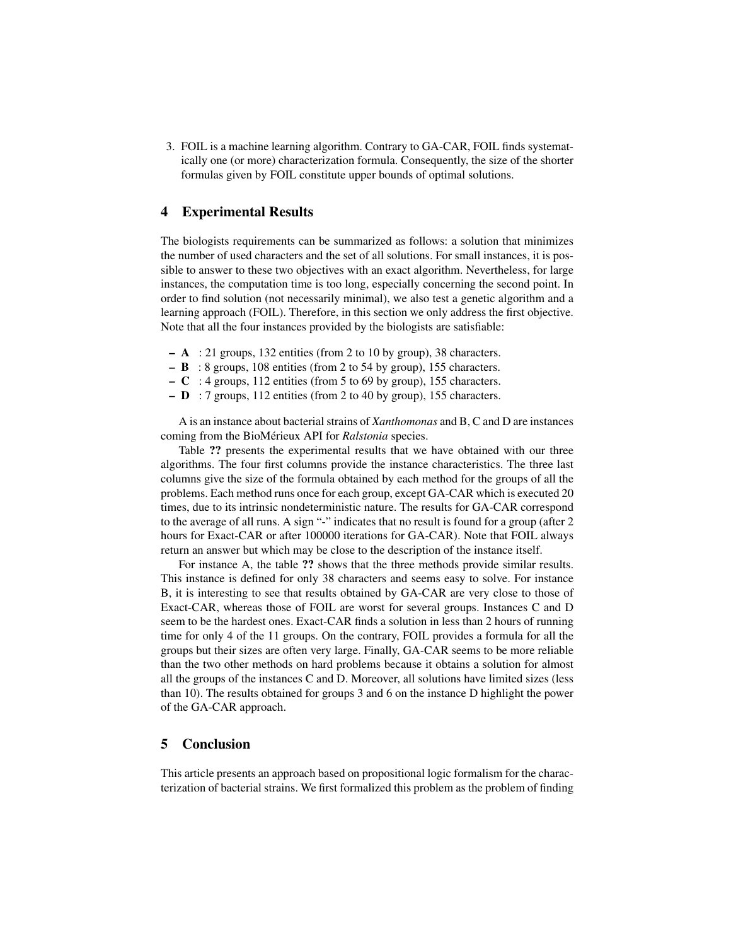3. FOIL is a machine learning algorithm. Contrary to GA-CAR, FOIL finds systematically one (or more) characterization formula. Consequently, the size of the shorter formulas given by FOIL constitute upper bounds of optimal solutions.

#### 4 Experimental Results

The biologists requirements can be summarized as follows: a solution that minimizes the number of used characters and the set of all solutions. For small instances, it is possible to answer to these two objectives with an exact algorithm. Nevertheless, for large instances, the computation time is too long, especially concerning the second point. In order to find solution (not necessarily minimal), we also test a genetic algorithm and a learning approach (FOIL). Therefore, in this section we only address the first objective. Note that all the four instances provided by the biologists are satisfiable:

- $A$  : 21 groups, 132 entities (from 2 to 10 by group), 38 characters.
- B : 8 groups, 108 entities (from 2 to 54 by group), 155 characters.
- $-$  C : 4 groups, 112 entities (from 5 to 69 by group), 155 characters.
- $-$  **D** : 7 groups, 112 entities (from 2 to 40 by group), 155 characters.

A is an instance about bacterial strains of *Xanthomonas* and B, C and D are instances coming from the BioMérieux API for *Ralstonia* species.

Table ?? presents the experimental results that we have obtained with our three algorithms. The four first columns provide the instance characteristics. The three last columns give the size of the formula obtained by each method for the groups of all the problems. Each method runs once for each group, except GA-CAR which is executed 20 times, due to its intrinsic nondeterministic nature. The results for GA-CAR correspond to the average of all runs. A sign "-" indicates that no result is found for a group (after 2 hours for Exact-CAR or after 100000 iterations for GA-CAR). Note that FOIL always return an answer but which may be close to the description of the instance itself.

For instance A, the table ?? shows that the three methods provide similar results. This instance is defined for only 38 characters and seems easy to solve. For instance B, it is interesting to see that results obtained by GA-CAR are very close to those of Exact-CAR, whereas those of FOIL are worst for several groups. Instances C and D seem to be the hardest ones. Exact-CAR finds a solution in less than 2 hours of running time for only 4 of the 11 groups. On the contrary, FOIL provides a formula for all the groups but their sizes are often very large. Finally, GA-CAR seems to be more reliable than the two other methods on hard problems because it obtains a solution for almost all the groups of the instances C and D. Moreover, all solutions have limited sizes (less than 10). The results obtained for groups 3 and 6 on the instance D highlight the power of the GA-CAR approach.

#### 5 Conclusion

This article presents an approach based on propositional logic formalism for the characterization of bacterial strains. We first formalized this problem as the problem of finding